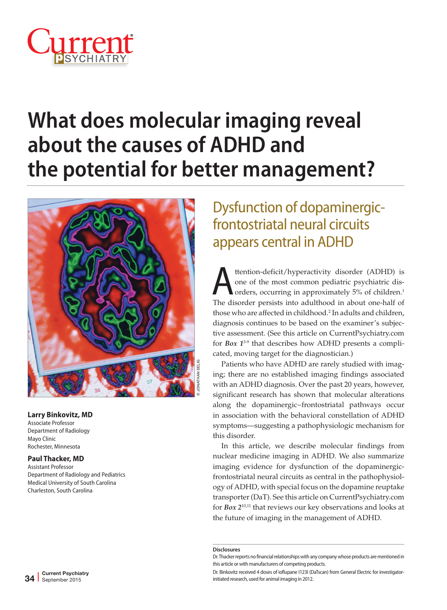

# **What does molecular imaging reveal about the causes of ADHD and the potential for better management?**



#### **Larry Binkovitz, MD**

Associate Professor Department of Radiology Mayo Clinic Rochester, Minnesota

#### **Paul Thacker, MD**

Assistant Professor Department of Radiology and Pediatrics Medical University of South Carolina Charleston, South Carolina

# Dysfunction of dopaminergicfrontostriatal neural circuits appears central in ADHD

ttention-deficit/hyperactivity disorder (ADHD) is<br>one of the most common pediatric psychiatric dis-<br>orders, occurring in approximately 5% of children.<sup>1</sup> one of the most common pediatric psychiatric disorders, occurring in approximately 5% of children.<sup>1</sup> The disorder persists into adulthood in about one-half of those who are affected in childhood.2 In adults and children, diagnosis continues to be based on the examiner's subjective assessment. (See this article on CurrentPsychiatry.com for *Box 1*3-9 that describes how ADHD presents a complicated, moving target for the diagnostician.)

Patients who have ADHD are rarely studied with imaging; there are no established imaging findings associated with an ADHD diagnosis. Over the past 20 years, however, significant research has shown that molecular alterations along the dopaminergic−frontostriatal pathways occur in association with the behavioral constellation of ADHD symptoms—suggesting a pathophysiologic mechanism for this disorder.

In this article, we describe molecular findings from nuclear medicine imaging in ADHD. We also summarize imaging evidence for dysfunction of the dopaminergicfrontostriatal neural circuits as central in the pathophysiology of ADHD, with special focus on the dopamine reuptake transporter (DaT). See this article on CurrentPsychiatry.com for *Box 2*10,11 that reviews our key observations and looks at the future of imaging in the management of ADHD.

#### **Disclosures**

Dr. Thacker reports no financial relationships with any company whose products are mentioned in this article or with manufacturers of competing products.

Dr. Binkovitz received 4 doses of ioflupane I123I (DaTscan) from General Electric for investigatorinitiated research, used for animal imaging in 2012.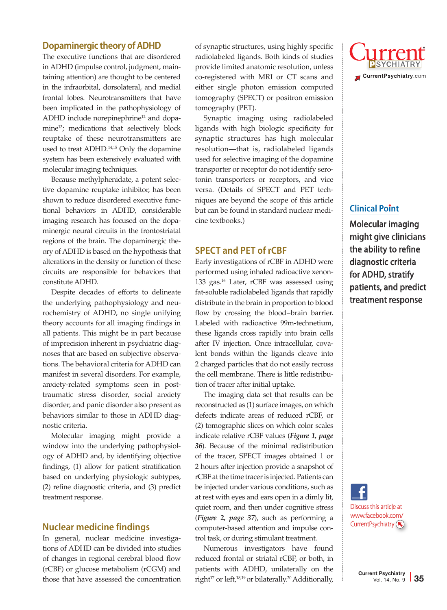#### **Dopaminergic theory of ADHD**

The executive functions that are disordered in ADHD (impulse control, judgment, maintaining attention) are thought to be centered in the infraorbital, dorsolateral, and medial frontal lobes. Neurotransmitters that have been implicated in the pathophysiology of ADHD include norepinephrine<sup>12</sup> and dopamine<sup>13</sup>; medications that selectively block reuptake of these neurotransmitters are used to treat ADHD.14,15 Only the dopamine system has been extensively evaluated with molecular imaging techniques.

Because methylphenidate, a potent selective dopamine reuptake inhibitor, has been shown to reduce disordered executive functional behaviors in ADHD, considerable imaging research has focused on the dopaminergic neural circuits in the frontostriatal regions of the brain. The dopaminergic theory of ADHD is based on the hypothesis that alterations in the density or function of these circuits are responsible for behaviors that constitute ADHD.

Despite decades of efforts to delineate the underlying pathophysiology and neurochemistry of ADHD, no single unifying theory accounts for all imaging findings in all patients. This might be in part because of imprecision inherent in psychiatric diagnoses that are based on subjective observations. The behavioral criteria for ADHD can manifest in several disorders. For example, anxiety-related symptoms seen in posttraumatic stress disorder, social anxiety disorder, and panic disorder also present as behaviors similar to those in ADHD diagnostic criteria.

Molecular imaging might provide a window into the underlying pathophysiology of ADHD and, by identifying objective findings, (1) allow for patient stratification based on underlying physiologic subtypes, (2) refine diagnostic criteria, and (3) predict treatment response.

#### **Nuclear medicine findings**

In general, nuclear medicine investigations of ADHD can be divided into studies of changes in regional cerebral blood flow (rCBF) or glucose metabolism (rCGM) and those that have assessed the concentration of synaptic structures, using highly specific radiolabeled ligands. Both kinds of studies provide limited anatomic resolution, unless co-registered with MRI or CT scans and either single photon emission computed tomography (SPECT) or positron emission tomography (PET).

Synaptic imaging using radiolabeled ligands with high biologic specificity for synaptic structures has high molecular resolution—that is, radiolabeled ligands used for selective imaging of the dopamine transporter or receptor do not identify serotonin transporters or receptors, and vice versa. (Details of SPECT and PET techniques are beyond the scope of this article but can be found in standard nuclear medicine textbooks.)

#### **SPECT and PET of rCBF**

Early investigations of rCBF in ADHD were performed using inhaled radioactive xenon-133 gas.16 Later, rCBF was assessed using fat-soluble radiolabeled ligands that rapidly distribute in the brain in proportion to blood flow by crossing the blood−brain barrier. Labeled with radioactive 99m-technetium, these ligands cross rapidly into brain cells after IV injection. Once intracellular, covalent bonds within the ligands cleave into 2 charged particles that do not easily recross the cell membrane. There is little redistribution of tracer after initial uptake.

The imaging data set that results can be reconstructed as (1) surface images, on which defects indicate areas of reduced rCBF, or (2) tomographic slices on which color scales indicate relative rCBF values (*Figure 1, page 36*). Because of the minimal redistribution of the tracer, SPECT images obtained 1 or 2 hours after injection provide a snapshot of rCBF at the time tracer is injected. Patients can be injected under various conditions, such as at rest with eyes and ears open in a dimly lit, quiet room, and then under cognitive stress (*Figure 2, page 37*), such as performing a computer-based attention and impulse control task, or during stimulant treatment.

Numerous investigators have found reduced frontal or striatal rCBF, or both, in patients with ADHD, unilaterally on the right<sup>17</sup> or left,<sup>18,19</sup> or bilaterally.<sup>20</sup> Additionally,



#### **Clinical Point**

Molecular imaging might give clinicians the ability to refine diagnostic criteria for ADHD, stratify patients, and predict treatment response

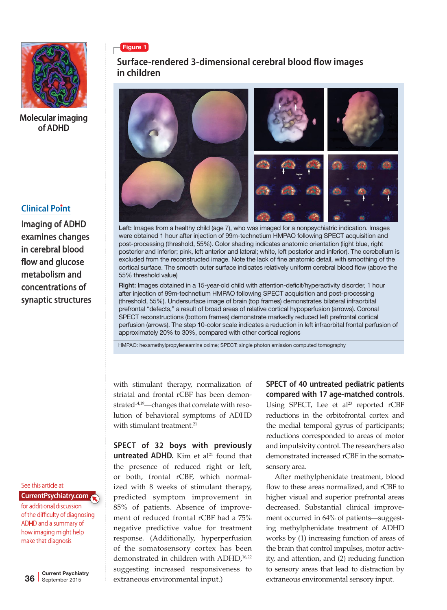

### **Clinical Point**

Imaging of ADHD examines changes in cerebral blood flow and glucose metabolism and concentrations of synaptic structures

#### See this article at

for additional discussion of the difficulty of diagnosing ADHD and a summary of how imaging might help make that diagnosis **CurrentPsychiatry.com**



### **Surface-rendered 3-dimensional cerebral blood flow images in children**



Left: Images from a healthy child (age 7), who was imaged for a nonpsychiatric indication. Images were obtained 1 hour after injection of 99m-technetium HMPAO following SPECT acquisition and post-processing (threshold, 55%). Color shading indicates anatomic orientation (light blue, right posterior and inferior; pink, left anterior and lateral; white, left posterior and inferior). The cerebellum is excluded from the reconstructed image. Note the lack of fine anatomic detail, with smoothing of the cortical surface. The smooth outer surface indicates relatively uniform cerebral blood flow (above the 55% threshold value)

Right: Images obtained in a 15-year-old child with attention-deficit/hyperactivity disorder, 1 hour after injection of 99m-technetium HMPAO following SPECT acquisition and post-processing (threshold, 55%). Undersurface image of brain (top frames) demonstrates bilateral infraorbital prefrontal "defects," a result of broad areas of relative cortical hypoperfusion (arrows). Coronal SPECT reconstructions (bottom frames) demonstrate markedly reduced left prefrontal cortical perfusion (arrows). The step 10-color scale indicates a reduction in left infraorbital frontal perfusion of approximately 20% to 30%, compared with other cortical regions

HMPAO: hexamethylpropyleneamine oxime; SPECT: single photon emission computed tomography

with stimulant therapy, normalization of striatal and frontal rCBF has been demonstrated<sup>14,19</sup>-changes that correlate with resolution of behavioral symptoms of ADHD with stimulant treatment.<sup>21</sup>

**SPECT of 32 boys with previously untreated ADHD.** Kim et al<sup>21</sup> found that the presence of reduced right or left, or both, frontal rCBF, which normalized with 8 weeks of stimulant therapy, predicted symptom improvement in 85% of patients. Absence of improvement of reduced frontal rCBF had a 75% negative predictive value for treatment response. (Additionally, hyperperfusion of the somatosensory cortex has been demonstrated in children with ADHD,<sup>16,22</sup> suggesting increased responsiveness to extraneous environmental input.)

**SPECT of 40 untreated pediatric patients compared with 17 age-matched controls**. Using SPECT, Lee et  $al^{23}$  reported rCBF reductions in the orbitofrontal cortex and the medial temporal gyrus of participants; reductions corresponded to areas of motor and impulsivity control. The researchers also demonstrated increased rCBF in the somatosensory area.

After methylphenidate treatment, blood flow to these areas normalized, and rCBF to higher visual and superior prefrontal areas decreased. Substantial clinical improvement occurred in 64% of patients—suggesting methylphenidate treatment of ADHD works by (1) increasing function of areas of the brain that control impulses, motor activity, and attention, and (2) reducing function to sensory areas that lead to distraction by extraneous environmental sensory input.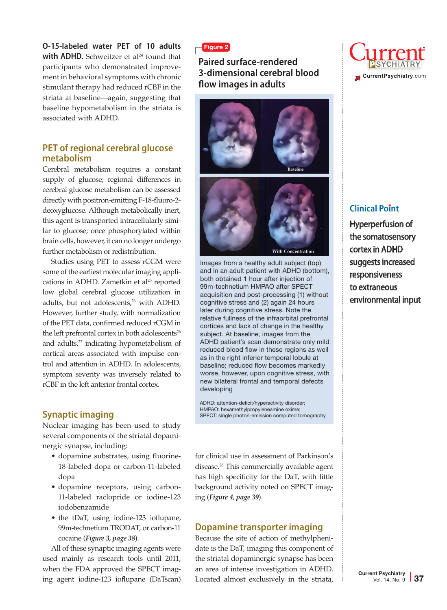**O-15-labeled water PET of 10 adults with ADHD.** Schweitzer et al<sup>24</sup> found that participants who demonstrated improvement in behavioral symptoms with chronic stimulant therapy had reduced rCBF in the striata at baseline—again, suggesting that baseline hypometabolism in the striata is associated with ADHD.

#### **PET of regional cerebral glucose metabolism**

Cerebral metabolism requires a constant supply of glucose; regional differences in cerebral glucose metabolism can be assessed directly with positron-emitting F-18-fluoro-2 deoxyglucose. Although metabolically inert, this agent is transported intracellularly similar to glucose; once phosphorylated within brain cells, however, it can no longer undergo further metabolism or redistribution.

Studies using PET to assess rCGM were some of the earliest molecular imaging applications in ADHD. Zametkin et al<sup>25</sup> reported low global cerebral glucose utilization in adults, but not adolescents,<sup>26</sup> with ADHD. However, further study, with normalization of the PET data, confirmed reduced rCGM in the left prefrontal cortex in both adolescents<sup>26</sup> and adults, $27$  indicating hypometabolism of cortical areas associated with impulse control and attention in ADHD. In adolescents, symptom severity was inversely related to rCBF in the left anterior frontal cortex.

#### **Synaptic imaging**

Nuclear imaging has been used to study several components of the striatal dopaminergic synapse, including:

- dopamine substrates, using fluorine-18-labeled dopa or carbon-11-labeled dopa
- dopamine receptors, using carbon-11-labeled raclopride or iodine-123 iodobenzamide
- the tDaT, using iodine-123 ioflupane, 99m-technetium TRODAT, or carbon-11 cocaine (*Figure 3, page 38*).

All of these synaptic imaging agents were used mainly as research tools until 2011, when the FDA approved the SPECT imaging agent iodine-123 ioflupane (DaTscan)

#### Figure 2

### **Paired surface-rendered 3-dimensional cerebral blood flow images in adults**





Images from a healthy adult subject (top) and in an adult patient with ADHD (bottom), both obtained 1 hour after injection of 99m-technetium HMPAO after SPECT acquisition and post-processing (1) without cognitive stress and (2) again 24 hours later during cognitive stress. Note the relative fullness of the infraorbital prefrontal cortices and lack of change in the healthy subject. At baseline, images from the ADHD patient's scan demonstrate only mild reduced blood flow in these regions as well as in the right inferior temporal lobule at baseline; reduced flow becomes markedly worse, however, upon cognitive stress, with new bilateral frontal and temporal defects developing

ADHD: attention-deficit/hyperactivity disorder; HMPAO: hexamethylpropyleneamine oxime; SPECT: single photon-emission computed tomography

for clinical use in assessment of Parkinson's disease.28 This commercially available agent has high specificity for the DaT, with little background activity noted on SPECT imaging (*Figure 4, page 39*).

#### **Dopamine transporter imaging**

Because the site of action of methylphenidate is the DaT, imaging this component of the striatal dopaminergic synapse has been an area of intense investigation in ADHD. Located almost exclusively in the striata,



#### **Clinical Point**

Hyperperfusion of the somatosensory cortex in ADHD suggests increased responsiveness to extraneous environmental input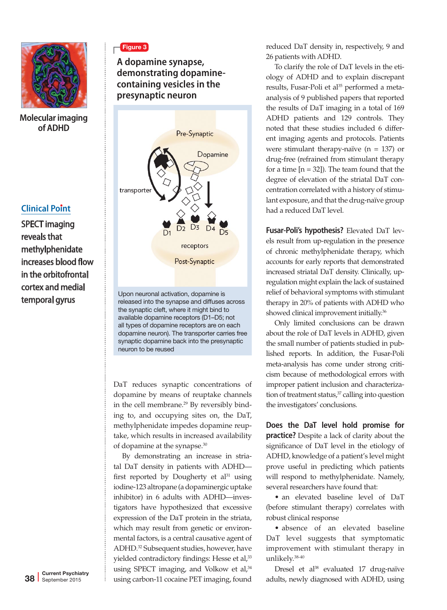

#### **Clinical Point**

SPECT imaging reveals that methylphenidate increases blood flow in the orbitofrontal cortex and medial temporal gyrus

# Figure 3

**A dopamine synapse, demonstrating dopaminecontaining vesicles in the presynaptic neuron**



Upon neuronal activation, dopamine is released into the synapse and diffuses across the synaptic cleft, where it might bind to available dopamine receptors (D1–D5; not all types of dopamine receptors are on each dopamine neuron). The transporter carries free synaptic dopamine back into the presynaptic neuron to be reused

DaT reduces synaptic concentrations of dopamine by means of reuptake channels in the cell membrane.<sup>29</sup> By reversibly binding to, and occupying sites on, the DaT, methylphenidate impedes dopamine reuptake, which results in increased availability of dopamine at the synapse.30

By demonstrating an increase in striatal DaT density in patients with ADHD first reported by Dougherty et  $al<sup>31</sup>$  using iodine-123 altropane (a dopaminergic uptake inhibitor) in 6 adults with ADHD—investigators have hypothesized that excessive expression of the DaT protein in the striata, which may result from genetic or environmental factors, is a central causative agent of ADHD.32 Subsequent studies, however, have yielded contradictory findings: Hesse et al,<sup>33</sup> using SPECT imaging, and Volkow et al,<sup>34</sup> using carbon-11 cocaine PET imaging, found

reduced DaT density in, respectively, 9 and 26 patients with ADHD.

To clarify the role of DaT levels in the etiology of ADHD and to explain discrepant results, Fusar-Poli et al<sup>35</sup> performed a metaanalysis of 9 published papers that reported the results of DaT imaging in a total of 169 ADHD patients and 129 controls. They noted that these studies included 6 different imaging agents and protocols. Patients were stimulant therapy-naïve ( $n = 137$ ) or drug-free (refrained from stimulant therapy for a time  $[n = 32]$ ). The team found that the degree of elevation of the striatal DaT concentration correlated with a history of stimulant exposure, and that the drug-naïve group had a reduced DaT level.

**Fusar-Poli's hypothesis?** Elevated DaT levels result from up-regulation in the presence of chronic methylphenidate therapy, which accounts for early reports that demonstrated increased striatal DaT density. Clinically, upregulation might explain the lack of sustained relief of behavioral symptoms with stimulant therapy in 20% of patients with ADHD who showed clinical improvement initially.<sup>36</sup>

Only limited conclusions can be drawn about the role of DaT levels in ADHD, given the small number of patients studied in published reports. In addition, the Fusar-Poli meta-analysis has come under strong criticism because of methodological errors with improper patient inclusion and characterization of treatment status,<sup>37</sup> calling into question the investigators' conclusions.

**Does the DaT level hold promise for practice?** Despite a lack of clarity about the significance of DaT level in the etiology of ADHD, knowledge of a patient's level might prove useful in predicting which patients will respond to methylphenidate. Namely, several researchers have found that:

• an elevated baseline level of DaT (before stimulant therapy) correlates with robust clinical response

• absence of an elevated baseline DaT level suggests that symptomatic improvement with stimulant therapy in unlikely.38-40

Dresel et al<sup>38</sup> evaluated 17 drug-naïve adults, newly diagnosed with ADHD, using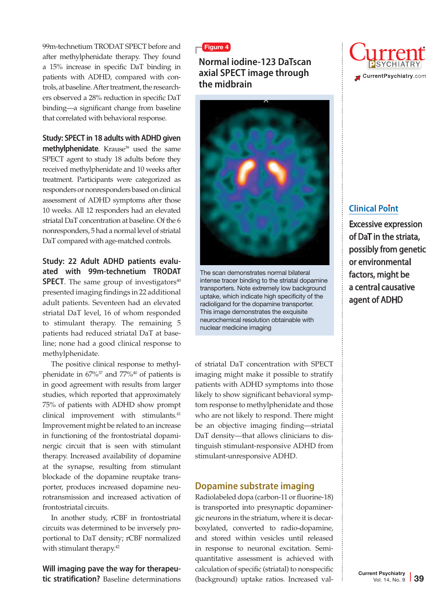99m-technetium TRODAT SPECT before and after methylphenidate therapy. They found a 15% increase in specific DaT binding in patients with ADHD, compared with controls, at baseline. After treatment, the researchers observed a 28% reduction in specific DaT binding—a significant change from baseline that correlated with behavioral response.

#### **Study: SPECT in 18 adults with ADHD given**

methylphenidate. Krause<sup>39</sup> used the same SPECT agent to study 18 adults before they received methylphenidate and 10 weeks after treatment. Participants were categorized as responders or nonresponders based on clinical assessment of ADHD symptoms after those 10 weeks. All 12 responders had an elevated striatal DaT concentration at baseline. Of the 6 nonresponders, 5 had a normal level of striatal DaT compared with age-matched controls.

#### **Study: 22 Adult ADHD patients evaluated with 99m-technetium TRODAT SPECT**. The same group of investigators $40$ presented imaging findings in 22 additional adult patients. Seventeen had an elevated striatal DaT level, 16 of whom responded to stimulant therapy. The remaining 5 patients had reduced striatal DaT at baseline; none had a good clinical response to methylphenidate.

The positive clinical response to methylphenidate in  $67\%$ <sup>37</sup> and  $77\%$ <sup>40</sup> of patients is in good agreement with results from larger studies, which reported that approximately 75% of patients with ADHD show prompt clinical improvement with stimulants.<sup>41</sup> Improvement might be related to an increase in functioning of the frontostriatal dopaminergic circuit that is seen with stimulant therapy. Increased availability of dopamine at the synapse, resulting from stimulant blockade of the dopamine reuptake transporter, produces increased dopamine neurotransmission and increased activation of frontostriatal circuits.

In another study, rCBF in frontostriatal circuits was determined to be inversely proportional to DaT density; rCBF normalized with stimulant therapy.<sup>42</sup>

**Will imaging pave the way for therapeutic stratification?** Baseline determinations

#### Figure 4

#### **Normal iodine-123 DaTscan axial SPECT image through the midbrain**



The scan demonstrates normal bilateral intense tracer binding to the striatal dopamine transporters. Note extremely low background uptake, which indicate high specificity of the radioligand for the dopamine transporter. This image demonstrates the exquisite neurochemical resolution obtainable with nuclear medicine imaging

of striatal DaT concentration with SPECT imaging might make it possible to stratify patients with ADHD symptoms into those likely to show significant behavioral symptom response to methylphenidate and those who are not likely to respond. There might be an objective imaging finding—striatal DaT density—that allows clinicians to distinguish stimulant-responsive ADHD from stimulant-unresponsive ADHD.

#### **Dopamine substrate imaging**

Radiolabeled dopa (carbon-11 or fluorine-18) is transported into presynaptic dopaminergic neurons in the striatum, where it is decarboxylated, converted to radio-dopamine, and stored within vesicles until released in response to neuronal excitation. Semiquantitative assessment is achieved with calculation of specific (striatal) to nonspecific (background) uptake ratios. Increased val-



## **Clinical Point**

Excessive expression of DaT in the striata, possibly from genetic or environmental factors, might be a central causative agent of ADHD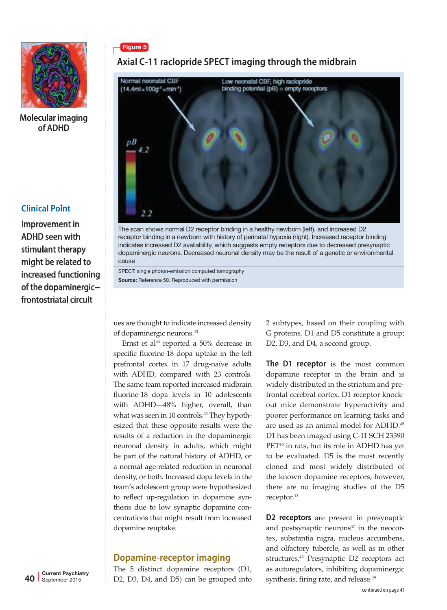

#### **Clinical Point**

Improvement in ADHD seen with stimulant therapy might be related to increased functioning of the dopaminergic− frontostriatal circuit

# Figure 5

# **Axial C-11 raclopride SPECT imaging through the midbrain**



The scan shows normal D2 receptor binding in a healthy newborn (left), and increased D2 receptor binding in a newborn with history of perinatal hypoxia (right). Increased receptor binding indicates increased D2 availability, which suggests empty receptors due to decreased presynaptic dopaminergic neurons. Decreased neuronal density may be the result of a genetic or environmental cause

SPECT: single photon-emission computed tomography Source: Reference 50. Reproduced with permission

ues are thought to indicate increased density of dopaminergic neurons.43

Ernst et al<sup>44</sup> reported a 50% decrease in specific fluorine-18 dopa uptake in the left prefrontal cortex in 17 drug-naïve adults with ADHD, compared with 23 controls. The same team reported increased midbrain fluorine-18 dopa levels in 10 adolescents with ADHD—48% higher, overall, than what was seen in 10 controls.<sup>43</sup> They hypothesized that these opposite results were the results of a reduction in the dopaminergic neuronal density in adults, which might be part of the natural history of ADHD, or a normal age-related reduction in neuronal density, or both. Increased dopa levels in the team's adolescent group were hypothesized to reflect up-regulation in dopamine synthesis due to low synaptic dopamine concentrations that might result from increased dopamine reuptake.

#### **Dopamine-receptor imaging**

The 5 distinct dopamine receptors (D1, D2, D3, D4, and D5) can be grouped into 2 subtypes, based on their coupling with G proteins. D1 and D5 constitute a group; D<sub>2</sub>, D<sub>3</sub>, and D<sub>4</sub>, a second group.

**The D1 receptor** is the most common dopamine receptor in the brain and is widely distributed in the striatum and prefrontal cerebral cortex. D1 receptor knockout mice demonstrate hyperactivity and poorer performance on learning tasks and are used as an animal model for ADHD.45 D1 has been imaged using C-11 SCH 23390 PET<sup>46</sup> in rats, but its role in ADHD has yet to be evaluated. D5 is the most recently cloned and most widely distributed of the known dopamine receptors; however, there are no imaging studies of the D5 receptor.<sup>13</sup>

**D2 receptors** are present in presynaptic and postsynaptic neurons<sup>47</sup> in the neocortex, substantia nigra, nucleus accumbens, and olfactory tubercle, as well as in other structures.<sup>48</sup> Presynaptic D2 receptors act as autoregulators, inhibiting dopaminergic synthesis, firing rate, and release.<sup>49</sup>

continued on page 41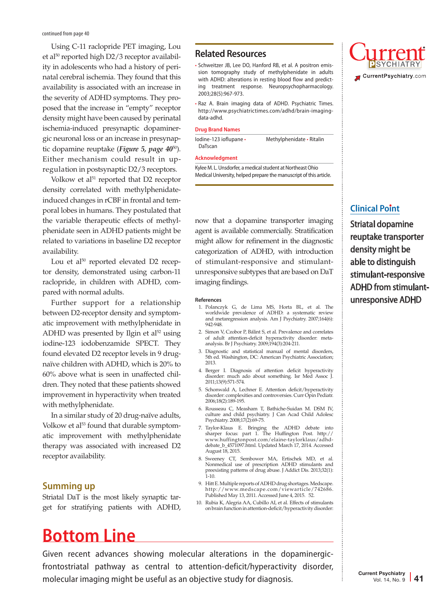Using C-11 raclopride PET imaging, Lou et al<sup>50</sup> reported high D2/3 receptor availability in adolescents who had a history of perinatal cerebral ischemia. They found that this availability is associated with an increase in the severity of ADHD symptoms. They proposed that the increase in "empty" receptor density might have been caused by perinatal ischemia-induced presynaptic dopaminergic neuronal loss or an increase in presynaptic dopamine reuptake (*Figure 5, page 40*50). Either mechanism could result in upregulation in postsynaptic D2/3 receptors.

Volkow et al<sup>51</sup> reported that D2 receptor density correlated with methylphenidateinduced changes in rCBF in frontal and temporal lobes in humans. They postulated that the variable therapeutic effects of methylphenidate seen in ADHD patients might be related to variations in baseline D2 receptor availability.

Lou et al $50$  reported elevated D2 receptor density, demonstrated using carbon-11 raclopride, in children with ADHD, compared with normal adults.

Further support for a relationship between D2-receptor density and symptomatic improvement with methylphenidate in ADHD was presented by Ilgin et al $52$  using iodine-123 iodobenzamide SPECT. They found elevated D2 receptor levels in 9 drugnaïve children with ADHD, which is 20% to 60% above what is seen in unaffected children. They noted that these patients showed improvement in hyperactivity when treated with methylphenidate.

In a similar study of 20 drug-naïve adults, Volkow et al<sup>53</sup> found that durable symptomatic improvement with methylphenidate therapy was associated with increased D2 receptor availability.

#### **Summing up**

Striatal DaT is the most likely synaptic target for stratifying patients with ADHD,

#### **Related Resources**

- Schweitzer JB, Lee DO, Hanford RB, et al. A positron emission tomography study of methylphenidate in adults with ADHD: alterations in resting blood flow and predicting treatment response. Neuropsychopharmacology. 2003;28(5):967-973.
- Raz A. Brain imaging data of ADHD. Psychiatric Times. http://www.psychiatrictimes.com/adhd/brain-imagingdata-adhd.

#### **Drug Brand Names**

Iodine-123 ioflupane • Methylphenidate • Ritalin DaTscan

#### **Acknowledgment**

Kylee M. L. Unsdorfer, a medical student at Northeast Ohio Medical University, helped prepare the manuscript of this article.

now that a dopamine transporter imaging agent is available commercially. Stratification might allow for refinement in the diagnostic categorization of ADHD, with introduction of stimulant-responsive and stimulantunresponsive subtypes that are based on DaT imaging findings.

#### **References**

- 1. Polanczyk G, de Lima MS, Horta BL, et al. The worldwide prevalence of ADHD: a systematic review and metaregression analysis. Am J Psychiatry. 2007;164(6): 942-948.
- 2. Simon V, Czobor P, Bálint S, et al. Prevalence and correlates of adult attention-deficit hyperactivity disorder: metaanalysis. Br J Psychiatry. 2009;194(3):204-211.
- 3. Diagnostic and statistical manual of mental disorders, 5th ed. Washington, DC: American Psychiatric Association; 2013.
- 4. Berger I. Diagnosis of attention deficit hyperactivity disorder: much ado about something. Isr Med Assoc J. 2011;13(9):571-574.
- 5. Schonwald A, Lechner E. Attention deficit/hyperactivity disorder: complexities and controversies. Curr Opin Pediatr. 2006;18(2):189-195.
- 6. Rousseau C, Measham T, Bathiche-Suidan M. DSM IV, culture and child psychiatry. J Can Acad Child Adolesc Psychiatry. 2008;17(2):69-75.
- 7. Taylor-Klaus E. Bringing the ADHD debate into sharper focus: part 1. The Huffington Post. http:// www.huffingtonpost.com/elaine-taylorklaus/adhd-debate\_b\_4571097.html. Updated March 17, 2014. Accessed August 18, 2015.
- 8. Sweeney CT, Sembower MA, Ertischek MD, et al. Nonmedical use of prescription ADHD stimulants and preexisting patterns of drug abuse. J Addict Dis. 2013;32(1): 1-10.
- 9. Hitt E. Multiple reports of ADHD drug shortages. Medscape. http://www.medscape.com/viewarticle/742686. Published May 13, 2011. Accessed June 4, 2015. 52.
- 10. Rubia K, Alegria AA, Cubillo AI, et al. Effects of stimulants on brain function in attention-deficit/hyperactivity disorder:

# **Bottom Line**

Given recent advances showing molecular alterations in the dopaminergicfrontostriatal pathway as central to attention-deficit/hyperactivity disorder, molecular imaging might be useful as an objective study for diagnosis.



#### **Clinical Point**

Striatal dopamine reuptake transporter density might be able to distinguish stimulant-responsive ADHD from stimulantunresponsive ADHD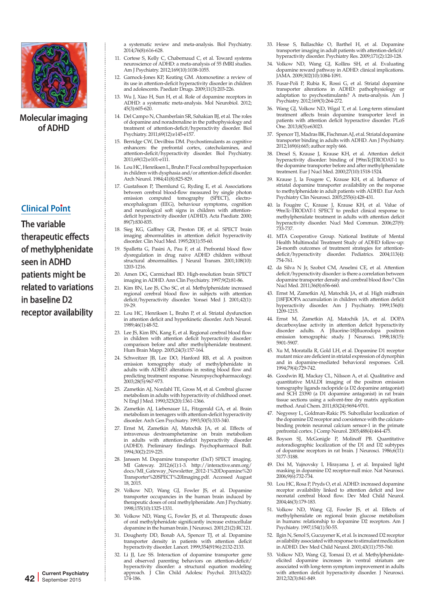

#### **Clinical Point**

The variable therapeutic effects of methylphenidate seen in ADHD patients might be related to variations in baseline D2 receptor availability

a systematic review and meta-analysis. Biol Psychiatry. 2014;76(8):616-628.

- 11. Cortese S, Kelly C, Chabernaud C, et al. Toward systems neuroscience of ADHD: a meta-analysis of 55 fMRI studies. Am J Psychiatry. 2012;169(10):1038-1055.
- 12. Garnock-Jones KP, Keating GM. Atomoxetine: a review of its use in attention-deficit hyperactivity disorder in children and adolescents. Paediatr Drugs. 2009;11(3):203-226.
- 13. Wu J, Xiao H, Sun H, et al. Role of dopamine receptors in ADHD: a systematic meta-analysis. Mol Neurobiol. 2012; 45(3):605-620.
- 14. Del Campo N, Chamberlain SR, Sahakian BJ, et al. The roles of dopamine and noradrenaline in the pathophysiology and treatment of attention-deficit/hyperactivity disorder. Biol Psychiatry. 2011;69(12):e145-e157.
- 15. Berridge CW, Devilbiss DM. Psychostimulants as cognitive enhancers: the prefrontal cortex, catecholamines, and attention-deficit/hyperactivity disorder. Biol Psychiatry. 2011;69(12):e101-e111.
- 16. Lou HC, Henriksen L, Bruhn P. Focal cerebral hypoperfusion in children with dysphasia and/or attention deficit disorder. Arch Neurol. 1984;41(8):825-829.
- 17. Gustafsson P, Thernlund G, Ryding E, et al. Associations between cerebral blood-flow measured by single photon emission computed tomography (SPECT), electroencephalogram (EEG), behaviour symptoms, cognition and neurological soft signs in children with attentiondeficit hyperactivity disorder (ADHD). Acta Paediatr. 2000; 89(7):830-835.
- 18. Sieg KG, Gaffney GR, Preston DF, et al. SPECT brain imaging abnormalities in attention deficit hyperactivity disorder. Clin Nucl Med. 1995;20(1):55-60.
- 19. Spalletta G, Pasini A, Pau F, et al. Prefrontal blood flow dysregulation in drug naive ADHD children without structural abnormalities. J Neural Transm. 2001;108(10): 1203-1216.
- 20. Amen DG, Carmichael BD. High-resolution brain SPECT imaging in ADHD. Ann Clin Psychiatry. 1997;9(2):81-86.
- 21. Kim BN, Lee JS, Cho SC, et al. Methylphenidate increased regional cerebral blood flow in subjects with attention deficit/hyperactivity disorder. Yonsei Med J. 2001;42(1): 19-29.
- 22. Lou HC, Henriksen L, Bruhn P, et al. Striatal dysfunction in attention deficit and hyperkinetic disorder. Arch Neurol. 1989;46(1):48-52.
- 23. Lee JS, Kim BN, Kang E, et al. Regional cerebral blood flow in children with attention deficit hyperactivity disorder: comparison before and after methylphenidate treatment. Hum Brain Mapp. 2005;24(3):157-164.
- 24. Schweitzer JB, Lee DO, Hanford RB, et al. A positron emission tomography study of methylphenidate in adults with ADHD: alterations in resting blood flow and predicting treatment response. Neuropsychopharmacology. 2003;28(5):967-973.
- 25. Zametkin AJ, Nordahl TE, Gross M, et al. Cerebral glucose metabolism in adults with hyperactivity of childhood onset. N Engl J Med. 1990;323(20):1361-1366.
- 26. Zametkin AJ, Liebenauer LL, Fitzgerald GA, et al. Brain metabolism in teenagers with attention-deficit hyperactivity disorder. Arch Gen Psychiatry. 1993;50(5):333-340.
- 27. Ernst M, Zametkin AJ, Matochik JA, et al. Effects of intravenous dextroamphetamine on brain metabolism in adults with attention-deficit hyperactivity disorder (ADHD). Preliminary findings. Psychopharmacol Bull. 1994;30(2):219-225.
- 28. Janssen M. Dopamine transporter (DaT) SPECT imaging. MI Gateway. 2012;6(1):1-3. http://interactive.snm.org/ docs/MI\_Gateway\_Newsletter\_2012-1%20Dopamine%20 Transporter%20SPECT%20Imaging.pdf. Accessed August 18, 2015.
- 29. Volkow ND, Wang GJ, Fowler JS, et al. Dopamine transporter occupancies in the human brain induced by therapeutic doses of oral methylphenidate. Am J Psychiatry. 1998;155(10):1325-1331.
- 30. Volkow ND, Wang G, Fowler JS, et al. Therapeutic doses of oral methylphenidate significantly increase extracellular dopamine in the human brain. J Neurosci. 2001;21(2):RC121.
- 31. Dougherty DD, Bonab AA, Spencer TJ, et al. Dopamine transporter density in patients with attention deficit hyperactivity disorder. Lancet. 1999;354(9196):2132-2133.
- 32. Li JJ, Lee SS. Interaction of dopamine transporter gene and observed parenting behaviors on attention-deficit/ hyperactivity disorder: a structural equation modeling approach. J Clin Child Adolesc Psychol. 2013;42(2): 174-186.
- 33. Hesse S, Ballaschke O, Barthel H, et al. Dopamine transporter imaging in adult patients with attention-deficit/ hyperactivity disorder. Psychiatry Res. 2009;171(2):120-128.
- 34. Volkow ND, Wang GJ, Kollins SH, et al. Evaluating dopamine reward pathway in ADHD: clinical implications. JAMA. 2009;302(10):1084-1091.
- 35. Fusar-Poli P, Rubia K, Rossi G, et al. Striatal dopamine transporter alterations in ADHD: pathophysiology or adaptation to psychostimulants? A meta-analysis. Am J Psychiatry. 2012;169(3):264-272.
- 36. Wang GJ, Volkow ND, Wigal T, et al. Long-term stimulant treatment affects brain dopamine transporter level in patients with attention deficit hyperactive disorder. PLoS One. 2013;8(5):e63023.
- 37. Spencer TJ, Madras BK, Fischman AJ, et al. Striatal dopamine transporter binding in adults with ADHD. Am J Psychiatry. 2012;169(6):665; author reply 666.
- 38. Dresel S, Krause J, Krause KH, et al. Attention deficit hyperactivity disorder: binding of [99mTc]TRODAT-1 to the dopamine transporter before and after methylphenidate treatment. Eur J Nucl Med. 2000;27(10):1518-1524.
- 39. Krause J, la Fougere C, Krause KH, et al. Influence of striatal dopamine transporter availability on the response to methylphenidate in adult patients with ADHD. Eur Arch Psychiatry Clin Neurosci. 2005;255(6):428-431.
- 40. la Fougère C, Krause J, Krause KH, et al. Value of 99mTc-TRODAT-1 SPECT to predict clinical response to methylphenidate treatment in adults with attention deficit hyperactivity disorder. Nucl Med Commun. 2006;27(9): 733-737.
- 41. MTA Cooperative Group. National Institute of Mental Health Multimodal Treatment Study of ADHD follow-up: 24-month outcomes of treatment strategies for attentiondeficit/hyperactivity disorder. Pediatrics. 2004;113(4): 754-761.
- 42. da Silva N Jr, Szobot CM, Anselmi CE, et al. Attention deficit/hyperactivity disorder: is there a correlation between dopamine transporter density and cerebral blood flow? Clin Nucl Med. 2011;36(8):656-660.
- 43. Ernst M, Zametkin AJ, Matochik JA, et al. High midbrain [18F]DOPA accumulation in children with attention deficit hyperactivity disorder. Am J Psychiatry. 1999;156(8): 1209-1215.
- 44. Ernst M, Zametkin AJ, Matochik JA, et al. DOPA decarboxylase activity in attention deficit hyperactivity disorder adults. A [fluorine-18]fluorodopa positron emission tomographic study. J Neurosci. 1998;18(15): 5901-5907.
- 45. Xu M, Moratalla R, Gold LH, et al. Dopamine D1 receptor mutant mice are deficient in striatal expression of dynorphin and in dopamine-mediated behavioral responses. Cell. 1994;79(4):729-742.
- 46. Goodwin RJ, Mackay CL, Nilsson A, et al. Qualitative and quantitative MALDI imaging of the positron emission tomography ligands raclopride (a D2 dopamine antagonist) and SCH 23390 (a D1 dopamine antagonist) in rat brain tissue sections using a solvent-free dry matrix application method. Anal Chem. 2011;83(24):9694-9701.
- 47. Negyessy L, Goldman-Rakic PS. Subcellular localization of the dopamine D2 receptor and coexistence with the calciumbinding protein neuronal calcium sensor-1 in the primate prefrontal cortex. J Comp Neurol. 2005;488(4):464-475.
- 48. Boyson SJ, McGonigle P, Molinoff PB. Quantitative autoradiographic localization of the D1 and D2 subtypes of dopamine receptors in rat brain. J Neurosci. 1986;6(11): 3177-3188.
- 49. Doi M, Yujnovsky I, Hirayama J, et al. Impaired light masking in dopamine D2 receptor-null mice. Nat Neurosci. 2006;9(6):732-734.
- 50. Lou HC, Rosa P, Pryds O, et al. ADHD: increased dopamine receptor availability linked to attention deficit and low neonatal cerebral blood flow. Dev Med Child Neurol. 2004;46(3):179-183.
- 51. Volkow ND, Wang GJ, Fowler JS, et al. Effects of methylphenidate on regional brain glucose metabolism in humans: relationship to dopamine D2 receptors. Am J Psychiatry. 1997;154(1):50-55.
- 52. Ilgin N, Senol S, Gucuyener K, et al. Is increased D2 receptor availability associated with response to stimulant medication in ADHD. Dev Med Child Neurol. 2001;43(11):755-760.
- 53. Volkow ND, Wang GJ, Tomasi D, et al. Methylphenidateelicited dopamine increases in ventral striatum are associated with long-term symptom improvement in adults with attention deficit hyperactivity disorder. J Neurosci. 2012;32(3):841-849.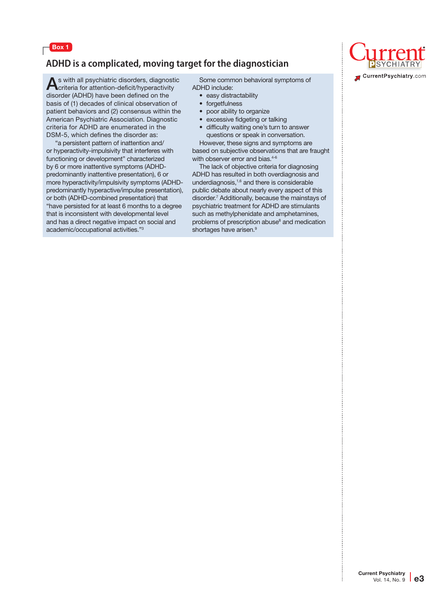

# **ADHD is a complicated, moving target for the diagnostician**

As with all psychiatric disorders, diagnostic criteria for attention-deficit/hyperactivity disorder (ADHD) have been defined on the basis of (1) decades of clinical observation of patient behaviors and (2) consensus within the American Psychiatric Association. Diagnostic criteria for ADHD are enumerated in the DSM-5, which defines the disorder as:

 "a persistent pattern of inattention and/ or hyperactivity-impulsivity that interferes with functioning or development" characterized by 6 or more inattentive symptoms (ADHDpredominantly inattentive presentation), 6 or more hyperactivity/impulsivity symptoms (ADHDpredominantly hyperactive/impulse presentation), or both (ADHD-combined presentation) that "have persisted for at least 6 months to a degree that is inconsistent with developmental level and has a direct negative impact on social and academic/occupational activities."3

Some common behavioral symptoms of ADHD include:

- easy distractability
- forgetfulness
- poor ability to organize
- excessive fidgeting or talking
- difficulty waiting one's turn to answer questions or speak in conversation. However, these signs and symptoms are

based on subjective observations that are fraught with observer error and bias.<sup>4-6</sup>

The lack of objective criteria for diagnosing ADHD has resulted in both overdiagnosis and underdiagnosis,1,6 and there is considerable public debate about nearly every aspect of this disorder.7 Additionally, because the mainstays of psychiatric treatment for ADHD are stimulants such as methylphenidate and amphetamines, problems of prescription abuse<sup>8</sup> and medication shortages have arisen.<sup>9</sup>